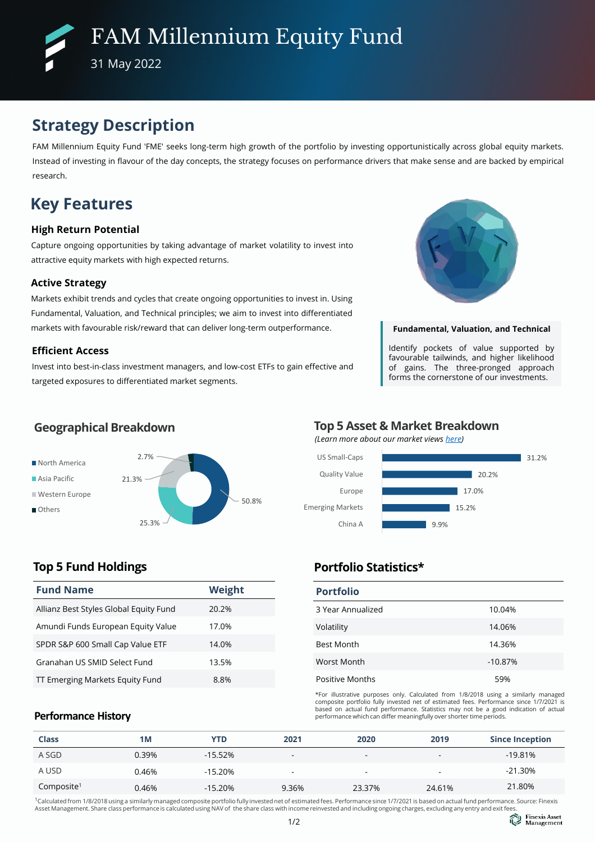# **Strategy Description**

FAM Millennium Equity Fund 'FME' seeks long-term high growth of the portfolio by investing opportunistically across global equity markets. Instead of investing in flavour of the day concepts, the strategy focuses on performance drivers that make sense and are backed by empirical research.

# **Key Features**

## **High Return Potential**

Capture ongoing opportunities by taking advantage of market volatility to invest into attractive equity markets with high expected returns.

## **Active Strategy**

Markets exhibit trends and cycles that create ongoing opportunities to invest in. Using Fundamental, Valuation, and Technical principles; we aim to invest into differentiated markets with favourable risk/reward that can deliver long-term outperformance.

## **Efficient Access**

Invest into best-in-class investment managers, and low-cost ETFs to gain effective and targeted exposures to differentiated market segments.



#### **Fundamental, Valuation, and Technical**

Identify pockets of value supported by favourable tailwinds, and higher likelihood of gains. The three-pronged approach forms the cornerstone of our investments.



# **Geographical Breakdown**

### **Top 5 Asset & Market Breakdown** *(Learn more about our market views [here\)](https://www.finexisam.com/publication/monthly/FAM_Commentary_Detailed%20Report_202206.pdf)*



## **Top 5 Fund Holdings**

| <b>Fund Name</b>                       | <b>Weight</b> |
|----------------------------------------|---------------|
| Allianz Best Styles Global Equity Fund | 20.2%         |
| Amundi Funds European Equity Value     | 17.0%         |
| SPDR S&P 600 Small Cap Value ETF       | 14.0%         |
| Granahan US SMID Select Fund           | 13.5%         |
| TT Emerging Markets Equity Fund        | 8.8%          |

## **Portfolio Statistics\* Portfolio**

| POLITOIIO         |           |
|-------------------|-----------|
| 3 Year Annualized | 10.04%    |
| Volatility        | 14.06%    |
| <b>Best Month</b> | 14.36%    |
| Worst Month       | $-10.87%$ |
| Positive Months   | 59%       |

\*For illustrative purposes only. Calculated from 1/8/2018 using a similarly managed composite portfolio fully invested net of estimated fees. Performance since 1/7/2021 is based on actual fund performance. Statistics may not be a good indication of actual performance which can differ meaningfully over shorter time periods.

## **Performance History**

| <b>Class</b>           | 1M    | YTD       | 2021  | 2020   | 2019   | <b>Since Inception</b> |
|------------------------|-------|-----------|-------|--------|--------|------------------------|
| A SGD                  | 0.39% | $-15.52%$ |       | ۰      |        | $-19.81\%$             |
| A USD                  | 0.46% | $-15.20%$ |       |        | -      | $-21.30\%$             |
| Composite <sup>1</sup> | 0.46% | $-15.20%$ | 9.36% | 23.37% | 24.61% | 21.80%                 |

<sup>1</sup>Calculated from 1/8/2018 using a similarly managed composite portfolio fully invested net of estimated fees. Performance since 1/7/2021 is based on actual fund performance. Source: Finexis<br>Asset Management. Share class